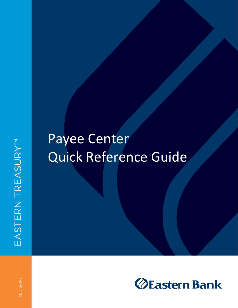## Payee Center Quick Reference Guide

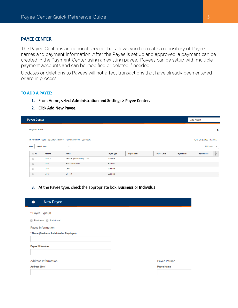## **PAYEE CENTER**

The Payee Center is an optional service that allows you to create a repository of Payee names and payment information. After the Payee is set up and approved, a payment can be created in the Payment Center using an existing payee. Payees can be setup with multiple payment accounts and can be modified or deleted if needed.

Updates or deletions to Payees will not affect transactions that have already been entered or are in process.

## **TO ADD A PAYEE:**

- **1.** From Home, select **Administration and Settings > Payee Center.**
- **2.** Click **Add New Payee.**

|        | <b>Payee Center</b><br>Add Widget                                                |                |                               |                   |                   |                     |                    |                     |   |
|--------|----------------------------------------------------------------------------------|----------------|-------------------------------|-------------------|-------------------|---------------------|--------------------|---------------------|---|
|        | Payee Center                                                                     |                |                               |                   |                   |                     |                    |                     | 森 |
|        | ⊕ Add New Payee BeExport Payees A Print Payees + Import<br>C 04/02/2020 11:26 AM |                |                               |                   |                   |                     |                    |                     |   |
|        | All Payees<br>Select fields<br>Filter<br>$\overline{\phantom{a}}$                |                |                               |                   |                   | $\scriptstyle\rm v$ |                    |                     |   |
|        | $\Box$ All                                                                       | <b>Actions</b> | Name                          | <b>Payee Type</b> | <b>Payee Name</b> | <b>Payee Email</b>  | <b>Payee Phone</b> | <b>Payee Mobile</b> | * |
| $\Box$ |                                                                                  | View $\sim$    | Barbara Tyr Consulting Jul 26 | Individual        |                   |                     |                    |                     |   |
| $\Box$ |                                                                                  | View $\sim$    | <b>Bernadeta Bakery</b>       | <b>Business</b>   |                   |                     |                    |                     |   |
| $\Box$ |                                                                                  | View $\sim$    | China                         | <b>Business</b>   |                   |                     |                    |                     |   |
| $\Box$ |                                                                                  | View $\sim$    | <b>DR</b> Test                | <b>Business</b>   |                   |                     |                    |                     |   |

**3.** At the Payee type, check the appropriate box: **Business** or **Individual**.

| <b>New Payee</b>                          |                   |
|-------------------------------------------|-------------------|
| * Payee Type(s)                           |                   |
| Business Individual<br>$\Box$             |                   |
| Payee Information                         |                   |
| * Name (Business, Individual or Employee) |                   |
|                                           |                   |
| <b>Payee ID Number</b>                    |                   |
|                                           |                   |
| <b>Address Information</b>                | Payee Person      |
| <b>Address Line 1</b>                     | <b>Payee Name</b> |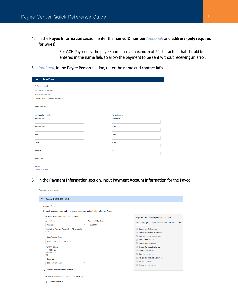Payment Information

- **4.** In the **Payee Information** section, enter the **name, ID number** *(optional)* and **address(only required for wires).**
	- a. For ACH Payments, the payee name has a maximum of 22 characters that should be entered in the name field to allow the payment to be sent without receiving an error.
- **5.** *(optional)* In the **Payee Person** section, enter the **name** and **contact Info**.

| <b>New Payee</b>                          |   |                   |
|-------------------------------------------|---|-------------------|
| * Payee Type(s)                           |   |                   |
| <b>Business D</b> Individual              |   |                   |
| Payee Information                         |   |                   |
| * Name (Business, Individual or Employee) |   |                   |
|                                           |   |                   |
| <b>Payee ID Number</b>                    |   |                   |
|                                           |   |                   |
| <b>Address Information</b>                |   | Payee Person      |
| <b>Address Line 1</b>                     |   | <b>Payee Name</b> |
|                                           |   |                   |
| <b>Address Line 2</b>                     |   | Email             |
|                                           |   |                   |
| <b>City</b>                               |   | Phone             |
|                                           |   |                   |
| <b>State</b>                              |   | <b>Mobile</b>     |
|                                           |   |                   |
| Province                                  |   | Fax               |
|                                           |   |                   |
| <b>Postal Code</b>                        |   |                   |
|                                           |   |                   |
| Country                                   |   |                   |
| Select a Country                          | ۷ |                   |

**6.** In the **Payment Information** section, Input **Payment Account Information** for the Payee.

| Complete Account Information to enable payments and collections for this Payee.<br>Enter Bank Information @ Use IBAN (1)<br>Payment Methods Accepted by this Account<br>* Account Number<br><b>Account Type</b><br>Selected payment types will be active for this account.<br>Checking<br>8888888<br>v<br>Required for Payment Types using NACHA clearing<br>Consumer Collections<br>method<br>Corporate/Vendor Payments<br>Internet Initiated Collections<br>* Bank Routing Code<br>Wire - International<br>011301798 - EASTERN BANK<br>v<br>Corporate Collections<br>Corporate Trade Exchange<br><b>FASTERN BANK</b><br>441 Main St<br>Cash Concentration<br>Melrose, MA<br>Cash Disbursement<br><b>US</b><br>Telephone Initiated Collections<br>* Currency<br>Wire - Domestic<br>USD - US DOLLAR<br>v<br>Consumer Payments | <b>Account Information</b> |  |  |
|-------------------------------------------------------------------------------------------------------------------------------------------------------------------------------------------------------------------------------------------------------------------------------------------------------------------------------------------------------------------------------------------------------------------------------------------------------------------------------------------------------------------------------------------------------------------------------------------------------------------------------------------------------------------------------------------------------------------------------------------------------------------------------------------------------------------------------|----------------------------|--|--|
|                                                                                                                                                                                                                                                                                                                                                                                                                                                                                                                                                                                                                                                                                                                                                                                                                               |                            |  |  |
|                                                                                                                                                                                                                                                                                                                                                                                                                                                                                                                                                                                                                                                                                                                                                                                                                               |                            |  |  |
|                                                                                                                                                                                                                                                                                                                                                                                                                                                                                                                                                                                                                                                                                                                                                                                                                               |                            |  |  |
|                                                                                                                                                                                                                                                                                                                                                                                                                                                                                                                                                                                                                                                                                                                                                                                                                               |                            |  |  |
|                                                                                                                                                                                                                                                                                                                                                                                                                                                                                                                                                                                                                                                                                                                                                                                                                               |                            |  |  |
|                                                                                                                                                                                                                                                                                                                                                                                                                                                                                                                                                                                                                                                                                                                                                                                                                               |                            |  |  |
|                                                                                                                                                                                                                                                                                                                                                                                                                                                                                                                                                                                                                                                                                                                                                                                                                               |                            |  |  |
|                                                                                                                                                                                                                                                                                                                                                                                                                                                                                                                                                                                                                                                                                                                                                                                                                               |                            |  |  |
|                                                                                                                                                                                                                                                                                                                                                                                                                                                                                                                                                                                                                                                                                                                                                                                                                               |                            |  |  |
|                                                                                                                                                                                                                                                                                                                                                                                                                                                                                                                                                                                                                                                                                                                                                                                                                               |                            |  |  |
|                                                                                                                                                                                                                                                                                                                                                                                                                                                                                                                                                                                                                                                                                                                                                                                                                               |                            |  |  |
|                                                                                                                                                                                                                                                                                                                                                                                                                                                                                                                                                                                                                                                                                                                                                                                                                               |                            |  |  |
|                                                                                                                                                                                                                                                                                                                                                                                                                                                                                                                                                                                                                                                                                                                                                                                                                               |                            |  |  |
|                                                                                                                                                                                                                                                                                                                                                                                                                                                                                                                                                                                                                                                                                                                                                                                                                               |                            |  |  |
|                                                                                                                                                                                                                                                                                                                                                                                                                                                                                                                                                                                                                                                                                                                                                                                                                               |                            |  |  |
| > Intermediary Bank Information                                                                                                                                                                                                                                                                                                                                                                                                                                                                                                                                                                                                                                                                                                                                                                                               |                            |  |  |